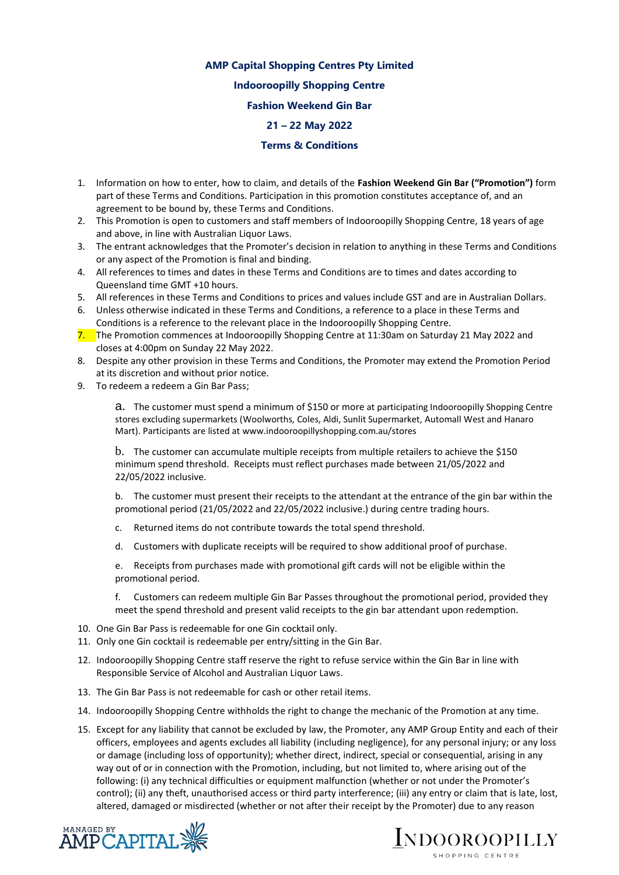## **AMP Capital Shopping Centres Pty Limited Indooroopilly Shopping Centre Fashion Weekend Gin Bar 21 – 22 May 2022**

## **Terms & Conditions**

- 1. Information on how to enter, how to claim, and details of the **Fashion Weekend Gin Bar ("Promotion")** form part of these Terms and Conditions. Participation in this promotion constitutes acceptance of, and an agreement to be bound by, these Terms and Conditions.
- 2. This Promotion is open to customers and staff members of Indooroopilly Shopping Centre, 18 years of age and above, in line with Australian Liquor Laws.
- 3. The entrant acknowledges that the Promoter's decision in relation to anything in these Terms and Conditions or any aspect of the Promotion is final and binding.
- 4. All references to times and dates in these Terms and Conditions are to times and dates according to Queensland time GMT +10 hours.
- 5. All references in these Terms and Conditions to prices and values include GST and are in Australian Dollars.
- 6. Unless otherwise indicated in these Terms and Conditions, a reference to a place in these Terms and Conditions is a reference to the relevant place in the Indooroopilly Shopping Centre.
- 7. The Promotion commences at Indooroopilly Shopping Centre at 11:30am on Saturday 21 May 2022 and closes at 4:00pm on Sunday 22 May 2022.
- 8. Despite any other provision in these Terms and Conditions, the Promoter may extend the Promotion Period at its discretion and without prior notice.
- 9. To redeem a redeem a Gin Bar Pass;

a. The customer must spend a minimum of \$150 or more at participating Indooroopilly Shopping Centre stores excluding supermarkets (Woolworths, Coles, Aldi, Sunlit Supermarket, Automall West and Hanaro Mart). Participants are listed at www.indooroopillyshopping.com.au/stores

b. The customer can accumulate multiple receipts from multiple retailers to achieve the \$150 minimum spend threshold. Receipts must reflect purchases made between 21/05/2022 and 22/05/2022 inclusive.

b. The customer must present their receipts to the attendant at the entrance of the gin bar within the promotional period (21/05/2022 and 22/05/2022 inclusive.) during centre trading hours.

- c. Returned items do not contribute towards the total spend threshold.
- d. Customers with duplicate receipts will be required to show additional proof of purchase.

e. Receipts from purchases made with promotional gift cards will not be eligible within the promotional period.

f. Customers can redeem multiple Gin Bar Passes throughout the promotional period, provided they meet the spend threshold and present valid receipts to the gin bar attendant upon redemption.

- 10. One Gin Bar Pass is redeemable for one Gin cocktail only.
- 11. Only one Gin cocktail is redeemable per entry/sitting in the Gin Bar.
- 12. Indooroopilly Shopping Centre staff reserve the right to refuse service within the Gin Bar in line with Responsible Service of Alcohol and Australian Liquor Laws.
- 13. The Gin Bar Pass is not redeemable for cash or other retail items.
- 14. Indooroopilly Shopping Centre withholds the right to change the mechanic of the Promotion at any time.
- 15. Except for any liability that cannot be excluded by law, the Promoter, any AMP Group Entity and each of their officers, employees and agents excludes all liability (including negligence), for any personal injury; or any loss or damage (including loss of opportunity); whether direct, indirect, special or consequential, arising in any way out of or in connection with the Promotion, including, but not limited to, where arising out of the following: (i) any technical difficulties or equipment malfunction (whether or not under the Promoter's control); (ii) any theft, unauthorised access or third party interference; (iii) any entry or claim that is late, lost, altered, damaged or misdirected (whether or not after their receipt by the Promoter) due to any reason